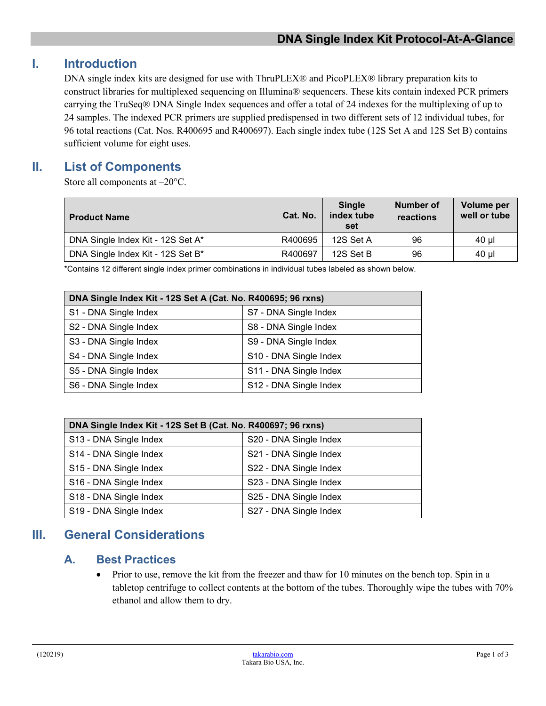# **I. Introduction**

DNA single index kits are designed for use with ThruPLEX® and PicoPLEX® library preparation kits to construct libraries for multiplexed sequencing on Illumina® sequencers. These kits contain indexed PCR primers carrying the TruSeq® DNA Single Index sequences and offer a total of 24 indexes for the multiplexing of up to 24 samples. The indexed PCR primers are supplied predispensed in two different sets of 12 individual tubes, for 96 total reactions (Cat. Nos. R400695 and R400697). Each single index tube (12S Set A and 12S Set B) contains sufficient volume for eight uses.

## **II. List of Components**

Store all components at –20°C.

| <b>Product Name</b>               | Cat. No. | <b>Single</b><br>index tube<br>set | Number of<br>reactions | Volume per<br>well or tube |
|-----------------------------------|----------|------------------------------------|------------------------|----------------------------|
| DNA Single Index Kit - 12S Set A* | R400695  | 12S Set A                          | 96                     | 40 ul                      |
| DNA Single Index Kit - 12S Set B* | R400697  | 12S Set B                          | 96                     | 40 µl                      |

\*Contains 12 different single index primer combinations in individual tubes labeled as shown below.

| DNA Single Index Kit - 12S Set A (Cat. No. R400695; 96 rxns) |                        |  |  |
|--------------------------------------------------------------|------------------------|--|--|
| S1 - DNA Single Index                                        | S7 - DNA Single Index  |  |  |
| S2 - DNA Single Index                                        | S8 - DNA Single Index  |  |  |
| S3 - DNA Single Index                                        | S9 - DNA Single Index  |  |  |
| S4 - DNA Single Index                                        | S10 - DNA Single Index |  |  |
| S5 - DNA Single Index                                        | S11 - DNA Single Index |  |  |
| S6 - DNA Single Index                                        | S12 - DNA Single Index |  |  |

| DNA Single Index Kit - 12S Set B (Cat. No. R400697; 96 rxns) |                        |  |  |
|--------------------------------------------------------------|------------------------|--|--|
| S13 - DNA Single Index                                       | S20 - DNA Single Index |  |  |
| S14 - DNA Single Index                                       | S21 - DNA Single Index |  |  |
| S15 - DNA Single Index                                       | S22 - DNA Single Index |  |  |
| S16 - DNA Single Index                                       | S23 - DNA Single Index |  |  |
| S18 - DNA Single Index                                       | S25 - DNA Single Index |  |  |
| S19 - DNA Single Index                                       | S27 - DNA Single Index |  |  |

# **III. General Considerations**

#### **A. Best Practices**

• Prior to use, remove the kit from the freezer and thaw for 10 minutes on the bench top. Spin in a tabletop centrifuge to collect contents at the bottom of the tubes. Thoroughly wipe the tubes with 70% ethanol and allow them to dry.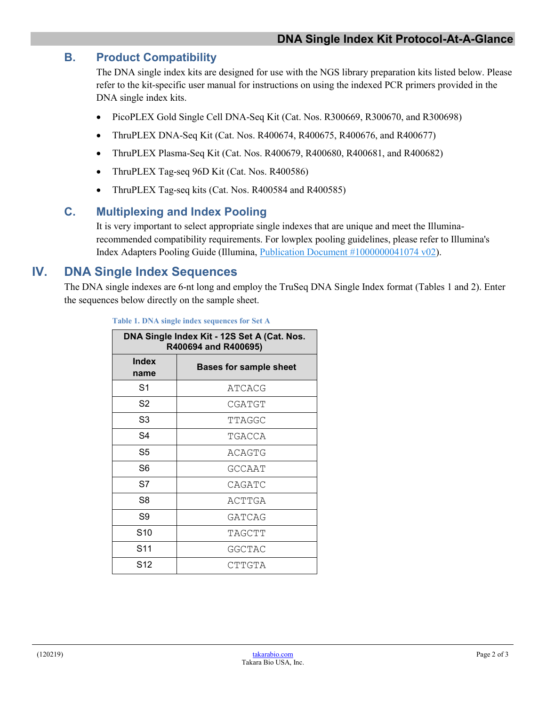### **B. Product Compatibility**

The DNA single index kits are designed for use with the NGS library preparation kits listed below. Please refer to the kit-specific user manual for instructions on using the indexed PCR primers provided in the DNA single index kits.

- PicoPLEX Gold Single Cell DNA-Seq Kit (Cat. Nos. R300669, R300670, and R300698)
- ThruPLEX DNA-Seq Kit (Cat. Nos. R400674, R400675, R400676, and R400677)
- ThruPLEX Plasma-Seq Kit (Cat. Nos. R400679, R400680, R400681, and R400682)
- ThruPLEX Tag-seq 96D Kit (Cat. Nos. R400586)
- ThruPLEX Tag-seq kits (Cat. Nos. R400584 and R400585)

### **C. Multiplexing and Index Pooling**

It is very important to select appropriate single indexes that are unique and meet the Illuminarecommended compatibility requirements. For lowplex pooling guidelines, please refer to Illumina's Index Adapters Pooling Guide (Illumina, [Publication Document #1000000041074 v02\)](https://support.illumina.com/content/dam/illumina-support/documents/documentation/chemistry_documentation/experiment-design/index-adapters-pooling-guide-1000000041074-02.pdf).

## **IV. DNA Single Index Sequences**

The DNA single indexes are 6-nt long and employ the TruSeq DNA Single Index format (Tables 1 and 2). Enter the sequences below directly on the sample sheet.

| DNA Single Index Kit - 12S Set A (Cat. Nos.<br>R400694 and R400695) |                               |  |
|---------------------------------------------------------------------|-------------------------------|--|
| Index<br>name                                                       | <b>Bases for sample sheet</b> |  |
| S <sub>1</sub>                                                      | ATCACG                        |  |
| S <sub>2</sub>                                                      | CGATGT                        |  |
| S <sub>3</sub>                                                      | TTAGGC                        |  |
| S4                                                                  | TGACCA                        |  |
| S5                                                                  | ACAGTG                        |  |
| S6                                                                  | GCCAAT                        |  |
| S7                                                                  | CAGATC                        |  |
| S8                                                                  | ACTTGA                        |  |
| S9                                                                  | GATCAG                        |  |
| S <sub>10</sub>                                                     | TAGCTT                        |  |
| S11                                                                 | <b>GGCTAC</b>                 |  |
| S12                                                                 | CTTGTA                        |  |

**Table 1. DNA single index sequences for Set A**